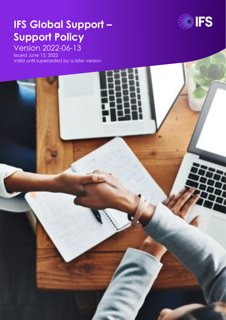

# **IFS Global Support – Support Policy**

Version 2022-06-13

r.

Issued June 13, 2022 Valid until superseded by a later version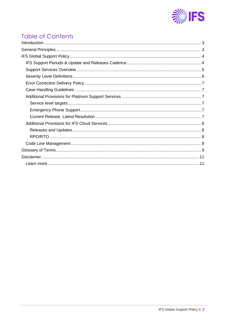

# **Table of Contents**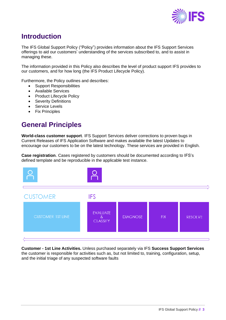

# <span id="page-2-0"></span>**Introduction**

The IFS Global Support Policy ("Policy") provides information about the IFS Support Services offerings to aid our customers' understanding of the services subscribed to, and to assist in managing these.

The information provided in this Policy also describes the level of product support IFS provides to our customers, and for how long (the IFS Product Lifecycle Policy).

Furthermore, the Policy outlines and describes:

- Support Responsibilities
- Available Services
- Product Lifecycle Policy
- Severity Definitions
- Service Levels
- Fix Principles

# <span id="page-2-1"></span>**General Principles**

**World-class customer support**. IFS Support Services deliver corrections to proven bugs in Current Releases of IFS Application Software and makes available the latest Updates to encourage our customers to be on the latest technology. These services are provided in English.

**Case registration**. Cases registered by customers should be documented according to IFS's defined template and be reproducible in the applicable test instance.



**Customer - 1st Line Activities.** Unless purchased separately via IFS **Success Support Services** the customer is responsible for activities such as, but not limited to, training, configuration, setup, and the initial triage of any suspected software faults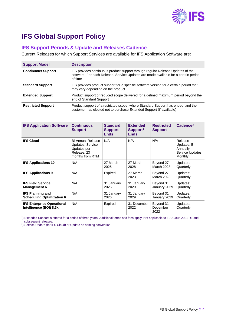

# <span id="page-3-0"></span>**IFS Global Support Policy**

## <span id="page-3-1"></span>**IFS Support Periods & Update and Releases Cadence**

Current Releases for which Support Services are available for IFS Application Software are:

| <b>Support Model</b>      | <b>Description</b>                                                                                                                                                               |
|---------------------------|----------------------------------------------------------------------------------------------------------------------------------------------------------------------------------|
| <b>Continuous Support</b> | IFS provides continuous product support through regular Release Updates of the<br>software. For each Release, Service Updates are made available for a certain period<br>of time |
| <b>Standard Support</b>   | IFS provides product support for a specific software version for a certain period that<br>may vary depending on the product                                                      |
| <b>Extended Support</b>   | Product support of reduced scope delivered for a defined maximum period beyond the<br>end of Standard Support                                                                    |
| <b>Restricted Support</b> | Product support of a restricted scope, where Standard Support has ended, and the<br>customer has elected not to purchase Extended Support (if available)                         |

| <b>IFS Application Software</b>                              | <b>Continuous</b><br><b>Support</b>                                                           | <b>Standard</b><br><b>Support</b><br><b>Ends</b> | <b>Extended</b><br>Support <sup>1</sup><br><b>Ends</b> | <b>Restricted</b><br><b>Support</b> | Cadence <sup>2</sup>                                               |
|--------------------------------------------------------------|-----------------------------------------------------------------------------------------------|--------------------------------------------------|--------------------------------------------------------|-------------------------------------|--------------------------------------------------------------------|
| <b>IFS Cloud</b>                                             | <b>Bi-Annual Release</b><br>Updates, Service<br>Updates per<br>Release: 23<br>months from RTM | N/A                                              | N/A                                                    | N/A                                 | Release<br>Updates: Bi-<br>Annually<br>Service Updates:<br>Monthly |
| <b>IFS Applications 10</b>                                   | N/A                                                                                           | 27 March<br>2025                                 | 27 March<br>2028                                       | Beyond 27<br><b>March 2028</b>      | Updates:<br>Quarterly                                              |
| <b>IFS Applications 9</b>                                    | N/A                                                                                           | Expired                                          | 27 March<br>2023                                       | Beyond 27<br>March 2023             | Updates:<br>Quarterly                                              |
| <b>IFS Field Service</b><br><b>Management 6</b>              | N/A                                                                                           | 31 January<br>2026                               | 31 January<br>2029                                     | Beyond 31<br>January 2029           | Updates:<br>Quarterly                                              |
| <b>IFS Planning and</b><br><b>Scheduling Optimization 6</b>  | N/A                                                                                           | 31 January<br>2026                               | 31 January<br>2029                                     | Beyond 31<br>January 2029           | Updates:<br>Quarterly                                              |
| <b>IFS Enterprise Operational</b><br>Intelligence (EOI) 8.3x | N/A                                                                                           | Expired                                          | 31 December<br>2022                                    | Beyond 31<br>December<br>2022       | Updates:<br>Quarterly                                              |

1 ) Extended Support is offered for a period of three years. Additional terms and fees apply. Not applicable to IFS Cloud 2021 R1 and subsequent releases.

<sup>2</sup>) Service Update (for IFS Cloud) or Update as naming convention.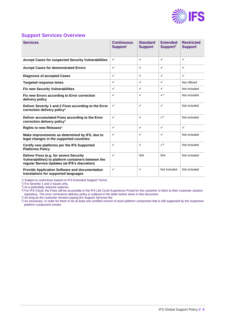

### <span id="page-4-0"></span>**Support Services Overview**

| <b>Services</b>                                                                                                                                 | <b>Continuous</b><br><b>Support</b> | <b>Standard</b><br><b>Support</b> | <b>Extended</b><br>Support <sup>1</sup> | <b>Restricted</b><br><b>Support</b> |
|-------------------------------------------------------------------------------------------------------------------------------------------------|-------------------------------------|-----------------------------------|-----------------------------------------|-------------------------------------|
| <b>Accept Cases for suspected Security Vulnerabilities</b>                                                                                      | $\checkmark$                        | $\checkmark$                      | $\checkmark$                            | $\checkmark$                        |
| <b>Accept Cases for demonstrated Errors</b>                                                                                                     | $\checkmark$                        | $\checkmark$                      | $\checkmark$                            | $\checkmark$                        |
| <b>Diagnosis of accepted Cases</b>                                                                                                              | $\checkmark$                        | $\checkmark$                      | $\checkmark$                            | $\checkmark$                        |
| <b>Targeted response times</b>                                                                                                                  | $\checkmark$                        | $\checkmark$                      | $\checkmark$                            | Not offered                         |
| <b>Fix new Security Vulnerabilities</b>                                                                                                         | $\checkmark$                        | $\checkmark$                      | $\checkmark$                            | Not included                        |
| Fix new Errors according to Error correction<br>delivery policy                                                                                 | $\checkmark$                        | $\checkmark$                      | $\checkmark$                            | Not included                        |
| Deliver Severity 1 and 2 Fixes according to the Error<br>correction delivery policy <sup>4</sup>                                                | $\checkmark$                        | $\checkmark$                      | $\checkmark$                            | Not included                        |
| Deliver accumulated Fixes according to the Error<br>correction delivery policy <sup>4</sup>                                                     | $\checkmark$                        | $\checkmark$                      | $\sqrt{3}$                              | Not included                        |
| Rights to new Releases <sup>5</sup>                                                                                                             | $\checkmark$                        | $\checkmark$                      | $\checkmark$                            | $\checkmark$                        |
| Make improvements as determined by IFS, due to<br>legal changes in the supported countries                                                      | $\checkmark$                        | $\checkmark$                      | $\checkmark$                            | Not included                        |
| Certify new platforms per the IFS Supported<br><b>Platforms Policy</b>                                                                          | $\checkmark$                        | $\checkmark$                      | $\checkmark$                            | Not included                        |
| Deliver Fixes (e.g. for severe Security<br>Vulnerabilities) to platform containers between the<br>regular Service Updates (at IFS's discretion) | $\checkmark$                        | N/A                               | N/A                                     | Not included                        |
| <b>Provide Application Software and documentation</b><br>translations for supported languages                                                   | $\checkmark$                        | $\checkmark$                      | Not included                            | Not included                        |

1 ) Subject to restrictions based on IFS Extended Support Terms. 2 ) For Severity 1 and 2 issues only.

3 ) At a potentially reduced cadence. 4 ) For IFS Cloud, the Fixes will be accessible in the IFS Life Cycle Experience Portal for the customer to fetch to their customer solution repository. The error corrections delivery policy is outlined in the table further down in this document

<sup>5</sup>) As long as the customer remains paying the Support Services fee

<sup>6</sup>) As necessary, in order for there to be at least one certified version of each platform component that is still supported by the respective platform component vendor.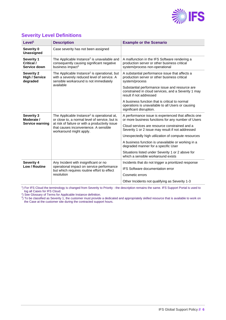

| Level <sup>1</sup>                                     | <b>Description</b>                                                                                                                                                                                                               | <b>Example or the Scenario</b>                                                                                                   |
|--------------------------------------------------------|----------------------------------------------------------------------------------------------------------------------------------------------------------------------------------------------------------------------------------|----------------------------------------------------------------------------------------------------------------------------------|
| Severity 0<br>Unassigned                               | Case severity has not been assigned                                                                                                                                                                                              |                                                                                                                                  |
| <b>Severity 1</b><br>Critical /<br>Service down        | The Applicable Instance <sup>2</sup> is unavailable and<br>consequently causing significant negative<br>business impact <sup>3</sup>                                                                                             | A malfunction in the IFS Software rendering a<br>production server or other business critical<br>system/process non-operational  |
| <b>Severity 2</b><br><b>High / Service</b><br>degraded | The Applicable Instance <sup>2</sup> is operational, but<br>with a severely reduced level of service. A<br>sensible workaround is not immediately                                                                                | A substantial performance issue that affects a<br>production server or other business critical<br>system/process                 |
|                                                        | available                                                                                                                                                                                                                        | Substantial performance issue and resource are<br>constrained in cloud services, and a Severity 1 may<br>result if not addressed |
|                                                        |                                                                                                                                                                                                                                  | A business function that is critical to normal<br>operations is unavailable to all Users or causing<br>significant disruption.   |
| <b>Severity 3</b><br>Moderate /                        | The Applicable Instance <sup>2</sup> is operational at,<br>or close to, a normal level of service, but is<br>at risk of failure or with a productivity issue<br>that causes inconvenience. A sensible<br>workaround might apply. | A performance issue is experienced that affects one<br>or more business functions for any number of Users                        |
| Service warning                                        |                                                                                                                                                                                                                                  | Cloud services are resource constrained and a<br>Severity 1 or 2 issue may result if not addressed                               |
|                                                        |                                                                                                                                                                                                                                  | Unexpectedly high utilization of compute resources                                                                               |
|                                                        |                                                                                                                                                                                                                                  | A business function is unavailable or working in a<br>degraded manner for a specific User                                        |
|                                                        |                                                                                                                                                                                                                                  | Situations listed under Severity 1 or 2 above for<br>which a sensible workaround exists                                          |
| <b>Severity 4</b><br>Low / Routine                     | Any Incident with insignificant or no<br>operational impact on service performance<br>but which requires routine effort to effect<br>resolution                                                                                  | Incidents that do not trigger a prioritized response                                                                             |
|                                                        |                                                                                                                                                                                                                                  | <b>IFS Software documentation error</b>                                                                                          |
|                                                        |                                                                                                                                                                                                                                  | Cosmetic errors                                                                                                                  |
|                                                        |                                                                                                                                                                                                                                  | Other Incidents not qualifying as Severity 1-3                                                                                   |

# <span id="page-5-0"></span>**Severity Level Definitions**

1 ) For IFS Cloud the terminology is changed from Severity to Priority - the description remains the same. IFS Support Portal is used to

log all Cases for IFS Cloud.<br><sup>2</sup>) See Glossary of Terms for Applicable Instance definition.<br><sup>3</sup>) To be classified as Severity 1, the customer must provide a dedicated and appropriately skilled resource that is available to the Case at the customer site during the contracted support hours.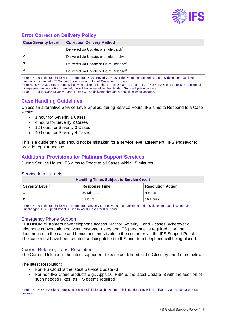

# <span id="page-6-0"></span>**Error Correction Delivery Policy**

| <b>Case Severity Level<sup>1</sup></b> | <b>Collection Delivery Method</b>                   |
|----------------------------------------|-----------------------------------------------------|
|                                        | Delivered via Update, or single patch <sup>2</sup>  |
|                                        | Delivered via Update, or single patch <sup>2</sup>  |
|                                        | Delivered via Update or future Release <sup>3</sup> |
|                                        | Delivered via Update or future Release <sup>3</sup> |

1 ) For IFS Cloud the terminology is changed from Case Severity to Case Priority but the numbering and description for each level remains unchanged. IFS Support Portal is used to log all Cases for IFS Cloud.

2 ) For Apps & FSM, a single patch will only be delivered for the current Update -2 or later. For PSO & IFS Cloud there is no concept of a single patch -where a Fix is needed, this will be delivered via the standard Service Update process.

<span id="page-6-1"></span><sup>3</sup>) For IFS Cloud, Case Severity 3 and 4 Fixes will be delivered through bi-annual Release Updates.

# **Case Handling Guidelines**

Unless an alternative Service Level applies, during Service Hours, IFS aims to Respond to a Case within:

- 1 hour for Severity 1 Cases
- 4 hours for Severity 2 Cases
- 12 hours for Severity 3 Cases
- 40 hours for Severity 4 Cases

This is a guide only and should not be mistaken for a service level agreement. IFS endeavor to provide regular updates.

### <span id="page-6-2"></span>**Additional Provisions for Platinum Support Services**

During Service Hours, IFS aims to React to all Cases within 15 minutes.

#### <span id="page-6-3"></span>Service level targets

| <b>Handling Times Subject to Service Great</b>      |            |                          |  |
|-----------------------------------------------------|------------|--------------------------|--|
| Severity Level <sup>1</sup><br><b>Response Time</b> |            | <b>Resolution Action</b> |  |
|                                                     | 30 Minutes | 4 Hours                  |  |
|                                                     | 2 Hours    | 16 Hours                 |  |

**Handling Times Subject to Service Credit**

1 ) For IFS Cloud the terminology is changed from Severity to Priority, but the numbering and description for each level remains unchanged. IFS Support Portal is used to log all Cases for IFS Cloud.

#### <span id="page-6-4"></span>Emergency Phone Support

PLATINUM customers have telephone access 24/7 for Severity 1 and 2 cases. Wherever a telephone conversation between customer users and IFS personnel is required, it will be documented in the case and hence become visible to the customer via the IFS Support Portal. The case must have been created and dispatched to IFS prior to a telephone call being placed.

#### <span id="page-6-5"></span>Current Release, Latest Resolution

The Current Release is the latest supported Release as defined in the Glossary and Terms below.

The latest Resolution:

- For IFS Cloud is the latest Service Update -3
- For non-IFS Cloud products e.g., Apps 10, FSM 6, the latest Update -3 with the addition of such needed Fixes<sup>1</sup> as IFS deems required

1 ) For IFS PSO & IFS Cloud there is no concept of single patch - where a Fix is needed, this will be delivered via the standard Update process.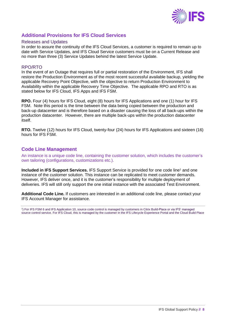

# <span id="page-7-0"></span>**Additional Provisions for IFS Cloud Services**

#### <span id="page-7-1"></span>Releases and Updates

In order to assure the continuity of the IFS Cloud Services, a customer is required to remain up to date with Service Updates, and IFS Cloud Service customers must be on a Current Release and no more than three (3) Service Updates behind the latest Service Update.

#### <span id="page-7-2"></span>RPO/RTO

In the event of an Outage that requires full or partial restoration of the Environment, IFS shall restore the Production Environment as of the most recent successful available backup, yielding the applicable Recovery Point Objective, with the objective to return Production Environment to Availability within the applicable Recovery Time Objective. The applicable RPO and RTO is as stated below for IFS Cloud, IFS Apps and IFS FSM.

**RPO.** Four (4) hours for IFS Cloud, eight (8) hours for IFS Applications and one (1) hour for IFS FSM. Note this period is the time between the data being copied between the production and back-up datacenter and is therefore based on a disaster causing the loss of all back-ups within the production datacenter. However, there are multiple back-ups within the production datacenter itself.

**RTO.** Twelve (12) hours for IFS Cloud, twenty-four (24) hours for IFS Applications and sixteen (16) hours for IFS FSM.

### <span id="page-7-3"></span>**Code Line Management**

An instance is a unique code line, containing the customer solution, which includes the customer's own tailoring (configurations, customizations etc.).

**Included in IFS Support Services.** IFS Support Service is provided for one code line<sup>1</sup> and one instance of the customer solution. This instance can be replicated to meet customer demands. However, IFS deliver once, and it is the customer's responsibility for multiple deployment of deliveries. IFS will still only support the one initial instance with the associated Test Environment.

**Additional Code Line.** If customers are interested in an additional code line, please contact your IFS Account Manager for assistance.

1 ) For IFS FSM 6 and IFS Application 10, source code control is managed by customers in Citrix Build-Place or via IFS' managed source control service. For IFS Cloud, this is managed by the customer in the IFS Lifecycle Experience Portal and the Cloud Build Place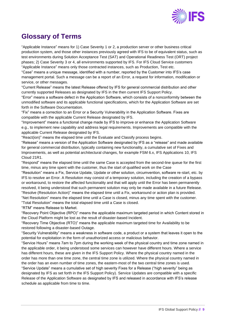

# <span id="page-8-0"></span>**Glossary of Terms**

"Applicable Instance" means for 1) Case Severity 1 or 2, a production server or other business critical production system, and those other instances previously agreed with IFS to be of equivalent status, such as test environments during Solution Acceptance Test (SAT) and Operational Readiness Test (ORT) project phases; 2) Case Severity 3 or 4, all environments supported by IFS. For IFS Cloud Service customers "Applicable Instance" means only those contracted instances, such as Production, Test etc.

"Case" means a unique message, identified with a number, reported by the Customer into IFS's case management portal. Such a message can be a report of an Error, a request for information, modification or service, or other messages.

"Current Release" means the latest Release offered by IFS for general commercial distribution and other currently supported Releases as designated by IFS in the then current IFS Support Policy.

"Error" means a software defect in the Application Software, which consists of a nonconformity between the unmodified software and its applicable functional specifications, which for the Application Software are set forth in the Software Documentation.

"Fix" means a correction to an Error or a Security Vulnerability in the Application Software. Fixes are compatible with the applicable Current Release designated by IFS.

"Improvement" means a functional change made by IFS to improve or enhance the Application Software e.g., to implement new capability and address legal requirements. Improvements are compatible with the applicable Current Release designated by IFS.

"React(ion)" means the elapsed time until the Evaluate and Classify process begins.

"Release" means a version of the Application Software designated by IFS as a "release" and made available for general commercial distribution, typically containing new functionality, a cumulative set of Fixes and Improvements, as well as potential architectural changes, for example FSM 6.x, IFS Applications 10, IFS Cloud 21R1.

"Respond" means the elapsed time until the same Case is accepted from the second-line queue for the first time, minus any time spent with the customer, thus the start of qualified work on the Case

"Resolution" means a Fix, Service Update, Update or other solution, circumvention, software re-start, etc. by IFS to resolve an Error. A Resolution may consist of a temporary solution, including the creation of a bypass or workaround, to restore the affected functionality and that will apply until the Error has been permanently resolved, it being understood that such permanent solution may only be made available in a future Release. "Resolve (Resolution Action)" means the elapsed time until a Fix, workaround or action plan is provided. "Net Resolution" means the elapsed time until a Case is closed, minus any time spent with the customer.

"Total Resolution" means the total elapsed time until a Case is closed.

"RTM" means Release to Market.

"Recovery Point Objective (RPO)" means the applicable maximum targeted period in which Content stored in the Cloud Platform might be lost as the result of disaster-based Incident.

"Recovery Time Objective (RTO)" means the applicable maximum targeted time for Availability to be restored following a disaster-based Outage.

"Security Vulnerability" means a weakness in software code, a product or a system that leaves it open to the potential for exploitation in the form of unauthorized access or malicious behavior.

"Service Hours" means 7am to 7pm during the working week of the physical country and time zone named in the applicable order, it being understood some services can however have different hours. Where a service has different hours, these are given in the IFS Support Policy. Where the physical country named in the order has more than one time zone, the central time zone is utilized. Where the physical country named in the order has an even number of time zones, the eastern-most of the two central time zones is used.

"Service Update" means a cumulative set of high severity Fixes for a Release ("high severity" being as designated by IFS as set forth in the IFS Support Policy). Service Updates are compatible with a specific Release of the Application Software as designated by IFS and released in accordance with IFS's release schedule as applicable from time to time.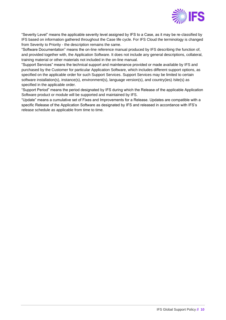

"Severity Level" means the applicable severity level assigned by IFS to a Case, as it may be re-classified by IFS based on information gathered throughout the Case life cycle. For IFS Cloud the terminology is changed from Severity to Priority - the description remains the same.

"Software Documentation" means the on-line reference manual produced by IFS describing the function of, and provided together with, the Application Software. It does not include any general descriptions, collateral, training material or other materials not included in the on-line manual.

"Support Services" means the technical support and maintenance provided or made available by IFS and purchased by the Customer for particular Application Software, which includes different support options, as specified on the applicable order for such Support Services. Support Services may be limited to certain software installation(s), instance(s), environment(s), language version(s), and country(ies) /site(s) as specified in the applicable order.

"Support Period" means the period designated by IFS during which the Release of the applicable Application Software product or module will be supported and maintained by IFS.

"Update" means a cumulative set of Fixes and Improvements for a Release. Updates are compatible with a specific Release of the Application Software as designated by IFS and released in accordance with IFS's release schedule as applicable from time to time.